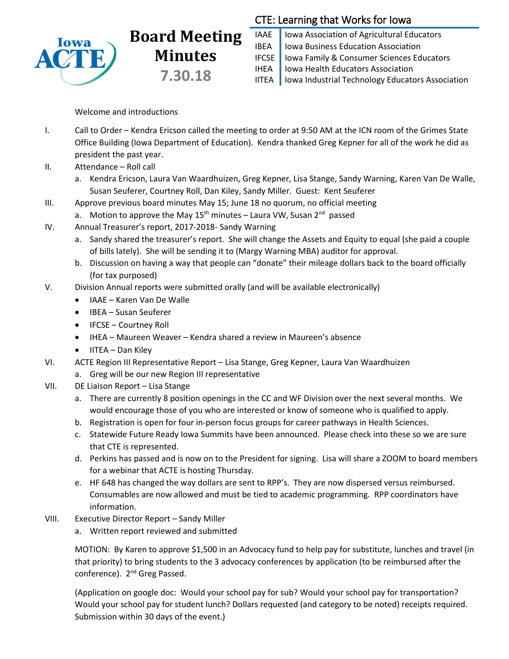

# **Board Meeting Minutes 7.30.18**

## CTE: Learning that Works for Iowa

IAAE | Iowa Association of Agricultural Educators IBEA | Iowa Business Education Association IFCSE Iowa Family & Consumer Sciences Educators IHEA | Iowa Health Educators Association IITEA | Iowa Industrial Technology Educators Association

### Welcome and introductions

- I. Call to Order Kendra Ericson called the meeting to order at 9:50 AM at the ICN room of the Grimes State Office Building (Iowa Department of Education). Kendra thanked Greg Kepner for all of the work he did as president the past year.
- II. Attendance Roll call
	- a. Kendra Ericson, Laura Van Waardhuizen, Greg Kepner, Lisa Stange, Sandy Warning, Karen Van De Walle, Susan Seuferer, Courtney Roll, Dan Kiley, Sandy Miller. Guest: Kent Seuferer
- III. Approve previous board minutes May 15; June 18 no quorum, no official meeting
	- a. Motion to approve the May 15<sup>th</sup> minutes Laura VW, Susan 2<sup>nd</sup> passed
- IV. Annual Treasurer's report, 2017-2018- Sandy Warning
	- a. Sandy shared the treasurer's report. She will change the Assets and Equity to equal (she paid a couple of bills lately). She will be sending it to (Margy Warning MBA) auditor for approval.
	- b. Discussion on having a way that people can "donate" their mileage dollars back to the board officially (for tax purposed)
- V. Division Annual reports were submitted orally (and will be available electronically)
	- IAAE Karen Van De Walle
	- IBEA Susan Seuferer
	- IFCSE Courtney Roll
	- IHEA Maureen Weaver Kendra shared a review in Maureen's absence
	- $\bullet$  IITEA Dan Kiley
- VI. ACTE Region III Representative Report Lisa Stange, Greg Kepner, Laura Van Waardhuizen
	- a. Greg will be our new Region III representative
- VII. DE Liaison Report Lisa Stange
	- a. There are currently 8 position openings in the CC and WF Division over the next several months. We would encourage those of you who are interested or know of someone who is qualified to apply.
	- b. Registration is open for four in-person focus groups for career pathways in Health Sciences.
	- c. Statewide Future Ready Iowa Summits have been announced. Please check into these so we are sure that CTE is represented.
	- d. Perkins has passed and is now on to the President for signing. Lisa will share a ZOOM to board members for a webinar that ACTE is hosting Thursday.
	- e. HF 648 has changed the way dollars are sent to RPP's. They are now dispersed versus reimbursed. Consumables are now allowed and must be tied to academic programming. RPP coordinators have information.
- VIII. Executive Director Report Sandy Miller
	- a. Written report reviewed and submitted

MOTION: By Karen to approve \$1,500 in an Advocacy fund to help pay for substitute, lunches and travel (in that priority) to bring students to the 3 advocacy conferences by application (to be reimbursed after the conference). 2<sup>nd</sup> Greg Passed.

(Application on google doc: Would your school pay for sub? Would your school pay for transportation? Would your school pay for student lunch? Dollars requested (and category to be noted) receipts required. Submission within 30 days of the event.)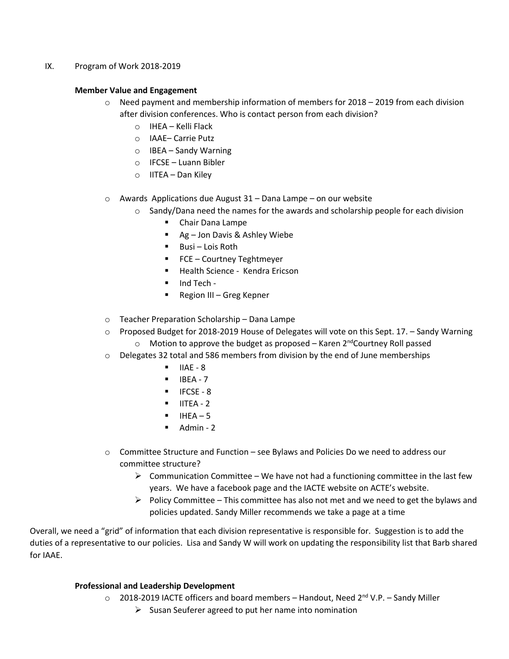#### IX. Program of Work 2018-2019

#### **Member Value and Engagement**

- $\circ$  Need payment and membership information of members for 2018 2019 from each division after division conferences. Who is contact person from each division?
	- o IHEA Kelli Flack
	- o IAAE– Carrie Putz
	- o IBEA Sandy Warning
	- o IFCSE Luann Bibler
	- o IITEA Dan Kiley
- o Awards Applications due August 31 Dana Lampe on our website
	- $\circ$  Sandy/Dana need the names for the awards and scholarship people for each division
		- **E** Chair Dana Lampe
		- Ag Jon Davis & Ashley Wiebe
		- **Busi Lois Roth**
		- FCE Courtney Teghtmeyer
		- **Health Science Kendra Ericson**
		- $\blacksquare$  Ind Tech -
		- Region III Greg Kepner
- o Teacher Preparation Scholarship Dana Lampe
- o Proposed Budget for 2018-2019 House of Delegates will vote on this Sept. 17. Sandy Warning  $\circ$  Motion to approve the budget as proposed – Karen 2<sup>nd</sup>Courtney Roll passed
- $\circ$  Delegates 32 total and 586 members from division by the end of June memberships
	- $IIAE 8$
	- $IBEA 7$
	- $IFCSF 8$
	- $\blacksquare$  IITEA 2
	- $I = IHFA 5$
	- $\blacksquare$  Admin 2
- $\circ$  Committee Structure and Function see Bylaws and Policies Do we need to address our committee structure?
	- $\triangleright$  Communication Committee We have not had a functioning committee in the last few years. We have a facebook page and the IACTE website on ACTE's website.
	- $\triangleright$  Policy Committee This committee has also not met and we need to get the bylaws and policies updated. Sandy Miller recommends we take a page at a time

Overall, we need a "grid" of information that each division representative is responsible for. Suggestion is to add the duties of a representative to our policies. Lisa and Sandy W will work on updating the responsibility list that Barb shared for IAAE.

#### **Professional and Leadership Development**

- $\circ$  2018-2019 IACTE officers and board members Handout, Need 2<sup>nd</sup> V.P. Sandy Miller
	- $\triangleright$  Susan Seuferer agreed to put her name into nomination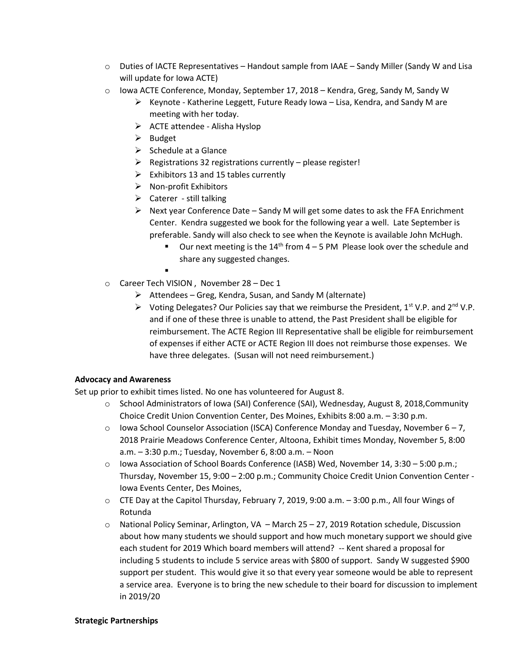- $\circ$  Duties of IACTE Representatives Handout sample from IAAE Sandy Miller (Sandy W and Lisa will update for Iowa ACTE)
- $\circ$  Iowa ACTE Conference, Monday, September 17, 2018 Kendra, Greg, Sandy M, Sandy W
	- $\triangleright$  Keynote Katherine Leggett, Future Ready Iowa Lisa, Kendra, and Sandy M are meeting with her today.
	- $\triangleright$  ACTE attendee Alisha Hyslop
	- $\triangleright$  Budget
	- $\triangleright$  Schedule at a Glance
	- $\triangleright$  Registrations 32 registrations currently please register!
	- $\triangleright$  Exhibitors 13 and 15 tables currently
	- $\triangleright$  Non-profit Exhibitors
	- $\triangleright$  Caterer still talking
	- $\triangleright$  Next year Conference Date Sandy M will get some dates to ask the FFA Enrichment Center. Kendra suggested we book for the following year a well. Late September is preferable. Sandy will also check to see when the Keynote is available John McHugh.
		- **•** Our next meeting is the  $14<sup>th</sup>$  from  $4-5$  PM Please look over the schedule and share any suggested changes.
		- $\blacksquare$
- o Career Tech VISION , November 28 Dec 1
	- $\triangleright$  Attendees Greg, Kendra, Susan, and Sandy M (alternate)
	- $\triangleright$  Voting Delegates? Our Policies say that we reimburse the President, 1<sup>st</sup> V.P. and 2<sup>nd</sup> V.P. and if one of these three is unable to attend, the Past President shall be eligible for reimbursement. The ACTE Region III Representative shall be eligible for reimbursement of expenses if either ACTE or ACTE Region III does not reimburse those expenses. We have three delegates. (Susan will not need reimbursement.)

#### **Advocacy and Awareness**

Set up prior to exhibit times listed. No one has volunteered for August 8.

- o School Administrators of Iowa (SAI) Conference (SAI), Wednesday, August 8, 2018,Community Choice Credit Union Convention Center, Des Moines, Exhibits 8:00 a.m. – 3:30 p.m.
- $\circ$  Iowa School Counselor Association (ISCA) Conference Monday and Tuesday, November 6 7, 2018 Prairie Meadows Conference Center, Altoona, Exhibit times Monday, November 5, 8:00 a.m. – 3:30 p.m.; Tuesday, November 6, 8:00 a.m. – Noon
- o Iowa Association of School Boards Conference (IASB) Wed, November 14, 3:30 5:00 p.m.; Thursday, November 15, 9:00 – 2:00 p.m.; Community Choice Credit Union Convention Center - Iowa Events Center, Des Moines,
- $\circ$  CTE Day at the Capitol Thursday, February 7, 2019, 9:00 a.m.  $-3:00$  p.m., All four Wings of Rotunda
- $\circ$  National Policy Seminar, Arlington, VA March 25 27, 2019 Rotation schedule, Discussion about how many students we should support and how much monetary support we should give each student for 2019 Which board members will attend? -- Kent shared a proposal for including 5 students to include 5 service areas with \$800 of support. Sandy W suggested \$900 support per student. This would give it so that every year someone would be able to represent a service area. Everyone is to bring the new schedule to their board for discussion to implement in 2019/20